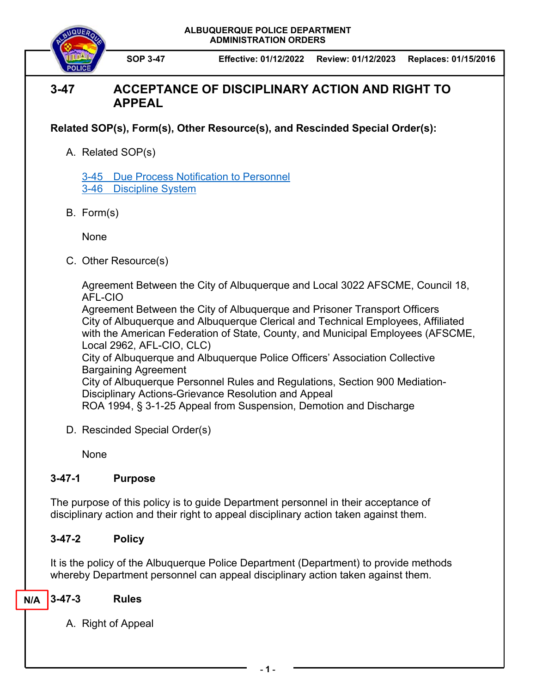**ALBUQUERQUE POLICE DEPARTMENT ADMINISTRATION ORDERS** 



**SOP 3-47 Effective: 01/12/2022 Review: 01/12/2023 Replaces: 01/15/2016**

# **3-47 ACCEPTANCE OF DISCIPLINARY ACTION AND RIGHT TO APPEAL**

**Related SOP(s), Form(s), Other Resource(s), and Rescinded Special Order(s):** 

A. Related SOP(s)

3-45 Due Process Notification to Personnel 3-46 Discipline System

B. Form(s)

None

C. Other Resource(s)

Agreement Between the City of Albuquerque and Local 3022 AFSCME, Council 18, AFL-CIO

Agreement Between the City of Albuquerque and Prisoner Transport Officers City of Albuquerque and Albuquerque Clerical and Technical Employees, Affiliated with the American Federation of State, County, and Municipal Employees (AFSCME, Local 2962, AFL-CIO, CLC)

City of Albuquerque and Albuquerque Police Officers' Association Collective Bargaining Agreement

City of Albuquerque Personnel Rules and Regulations, Section 900 Mediation-Disciplinary Actions-Grievance Resolution and Appeal ROA 1994, § 3-1-25 Appeal from Suspension, Demotion and Discharge

- 
- D. Rescinded Special Order(s)

None

## **3-47-1 Purpose**

The purpose of this policy is to guide Department personnel in their acceptance of disciplinary action and their right to appeal disciplinary action taken against them.

## **3-47-2 Policy**

It is the policy of the Albuquerque Police Department (Department) to provide methods whereby Department personnel can appeal disciplinary action taken against them.

#### **3-47-3 Rules N/A**

A. Right of Appeal